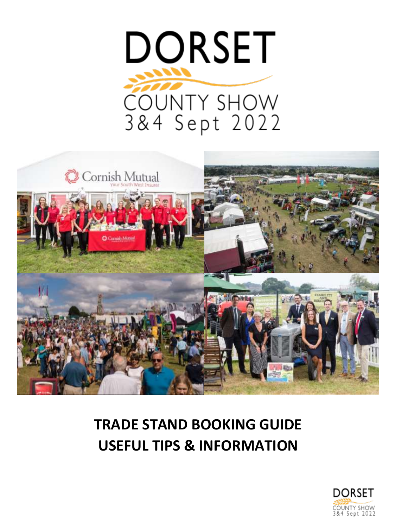



# **TRADE STAND BOOKING GUIDE USEFUL TIPS & INFORMATION**

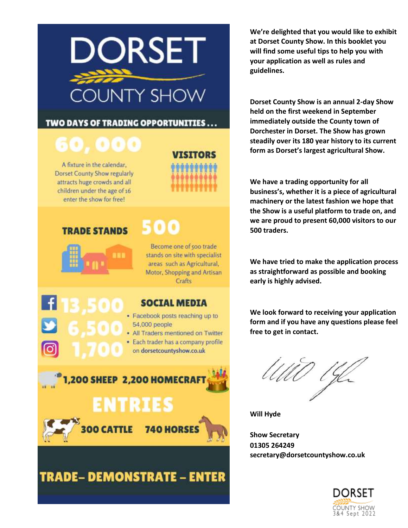

#### TWO DAYS OF TRADING OPPORTUNITIES . . .

# 50.000

A fixture in the calendar, **Dorset County Show regularly** attracts huge crowds and all children under the age of 16 enter the show for free!



### **TRADE STANDS**



## 500

Become one of 500 trade stands on site with specialist areas such as Agricultural, Motor, Shopping and Artisan Crafts

#### **SOCIAL MEDIA**

- · Facebook posts reaching up to 54,000 people
- All Traders mentioned on Twitter
- · Each trader has a company profile on dorsetcountyshow.co.uk



## **TRADE-DEMONSTRATE - ENTER**

**We're delighted that you would like to exhibit at Dorset County Show. In this booklet you will find some useful tips to help you with your application as well as rules and guidelines.** 

**Dorset County Show is an annual 2-day Show held on the first weekend in September immediately outside the County town of Dorchester in Dorset. The Show has grown steadily over its 180 year history to its current form as Dorset's largest agricultural Show.**

**We have a trading opportunity for all business's, whether it is a piece of agricultural machinery or the latest fashion we hope that the Show is a useful platform to trade on, and we are proud to present 60,000 visitors to our 500 traders.**

**We have tried to make the application process as straightforward as possible and booking early is highly advised.**

**We look forward to receiving your application form and if you have any questions please feel free to get in contact.**

**Will Hyde**

**Show Secretary 01305 264249 secretary@dorsetcountyshow.co.uk**

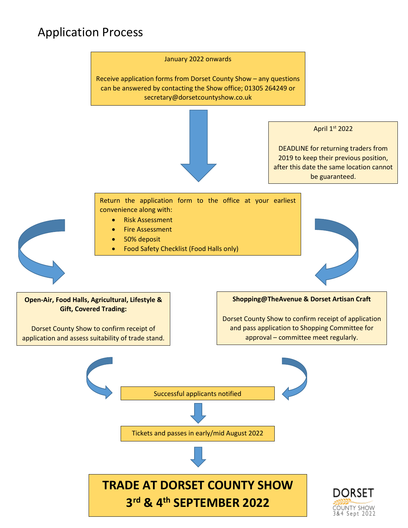## Application Process

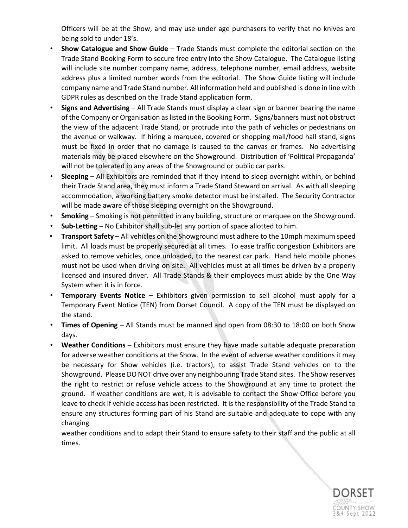Officers will be at the Show, and may use under age purchasers to verify that no knives are being sold to under 18's.

- **Show Catalogue and Show Guide** Trade Stands must complete the editorial section on the Trade Stand Booking Form to secure free entry into the Show Catalogue. The Catalogue listing will include site number company name, address, telephone number, email address, website address plus a limited number words from the editorial. The Show Guide listing will include company name and Trade Stand number. All information held and published is done in line with GDPR rules as described on the Trade Stand application form.
- **Signs and Advertising** All Trade Stands must display a clear sign or banner bearing the name of the Company or Organisation as listed in the Booking Form. Signs/banners must not obstruct the view of the adjacent Trade Stand, or protrude into the path of vehicles or pedestrians on the avenue or walkway. If hiring a marquee, covered or shopping mall/food hall stand, signs must be fixed in order that no damage is caused to the canvas or frames. No advertising materials may be placed elsewhere on the Showground. Distribution of 'Political Propaganda' will not be tolerated in any areas of the Showground or public car parks.
- **Sleeping** All Exhibitors are reminded that if they intend to sleep overnight within, or behind their Trade Stand area, they must inform a Trade Stand Steward on arrival. As with all sleeping accommodation, a working battery smoke detector must be installed. The Security Contractor will be made aware of those sleeping overnight on the Showground.
- **Smoking** Smoking is not permitted in any building, structure or marquee on the Showground.
- **Sub-Letting** No Exhibitor shall sub-let any portion of space allotted to him.
- **Transport Safety** All vehicles on the Showground must adhere to the 10mph maximum speed limit. All loads must be properly secured at all times. To ease traffic congestion Exhibitors are asked to remove vehicles, once unloaded, to the nearest car park. Hand held mobile phones must not be used when driving on site. All vehicles must at all times be driven by a properly licensed and insured driver. All Trade Stands & their employees must abide by the One Way System when it is in force.
- **Temporary Events Notice** Exhibitors given permission to sell alcohol must apply for a Temporary Event Notice (TEN) from Dorset Council. A copy of the TEN must be displayed on the stand.
- **Times of Opening** All Stands must be manned and open from 08:30 to 18:00 on both Show days.
- **Weather Conditions** Exhibitors must ensure they have made suitable adequate preparation for adverse weather conditions at the Show. In the event of adverse weather conditions it may be necessary for Show vehicles (i.e. tractors), to assist Trade Stand vehicles on to the Showground. Please DO NOT drive over any neighbouring Trade Stand sites. The Show reserves the right to restrict or refuse vehicle access to the Showground at any time to protect the ground. If weather conditions are wet, it is advisable to contact the Show Office before you leave to check if vehicle access has been restricted. It is the responsibility of the Trade Stand to ensure any structures forming part of his Stand are suitable and adequate to cope with any changing

weather conditions and to adapt their Stand to ensure safety to their staff and the public at all times.